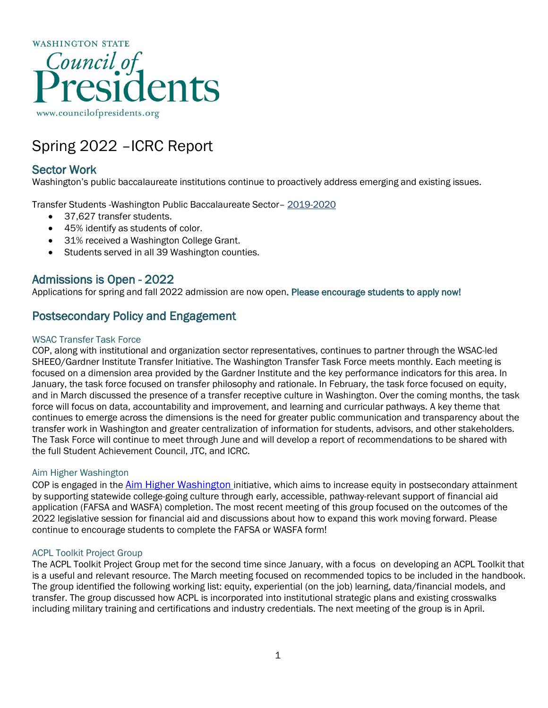

# Spring 2022 –ICRC Report

# Sector Work

Washington's public baccalaureate institutions continue to proactively address emerging and existing issues.

Transfer Students -Washington Public Baccalaureate Sector– [2019-2020](https://erdc.wa.gov/data-dashboards/public-four-year-dashboard#annual-enrollment)

- 37,627 transfer students.
- 45% identify as students of color.
- 31% received a Washington College Grant.
- Students served in all 39 Washington counties.

## Admissions is Open - 2022

Applications for spring and fall 2022 admission are now open. Please encourage students to apply now!

# Postsecondary Policy and Engagement

#### WSAC Transfer Task Force

COP, along with institutional and organization sector representatives, continues to partner through the WSAC-led SHEEO/Gardner Institute Transfer Initiative. The Washington Transfer Task Force meets monthly. Each meeting is focused on a dimension area provided by the Gardner Institute and the key performance indicators for this area. In January, the task force focused on transfer philosophy and rationale. In February, the task force focused on equity, and in March discussed the presence of a transfer receptive culture in Washington. Over the coming months, the task force will focus on data, accountability and improvement, and learning and curricular pathways. A key theme that continues to emerge across the dimensions is the need for greater public communication and transparency about the transfer work in Washington and greater centralization of information for students, advisors, and other stakeholders. The Task Force will continue to meet through June and will develop a report of recommendations to be shared with the full Student Achievement Council, JTC, and ICRC.

#### Aim Higher Washington

COP is engaged in the [Aim Higher Washington](https://wsac.wa.gov/aim-higher) initiative, which aims to increase equity in postsecondary attainment by supporting statewide college-going culture through early, accessible, pathway-relevant support of financial aid application (FAFSA and WASFA) completion. The most recent meeting of this group focused on the outcomes of the 2022 legislative session for financial aid and discussions about how to expand this work moving forward. Please continue to encourage students to complete the FAFSA or WASFA form!

#### ACPL Toolkit Project Group

The ACPL Toolkit Project Group met for the second time since January, with a focus on developing an ACPL Toolkit that is a useful and relevant resource. The March meeting focused on recommended topics to be included in the handbook. The group identified the following working list: equity, experiential (on the job) learning, data/financial models, and transfer. The group discussed how ACPL is incorporated into institutional strategic plans and existing crosswalks including military training and certifications and industry credentials. The next meeting of the group is in April.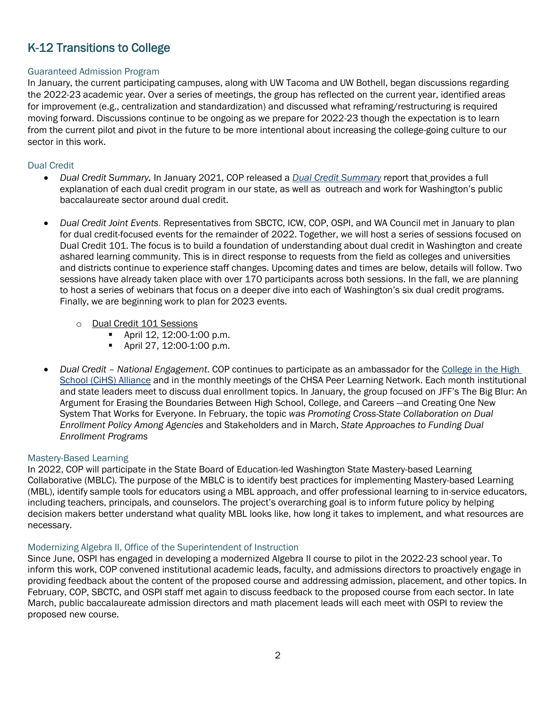# K-12 Transitions to College

#### Guaranteed Admission Program

In January, the current participating campuses, along with UW Tacoma and UW Bothell, began discussions regarding the 2022-23 academic year. Over a series of meetings, the group has reflected on the current year, identified areas for improvement (e.g., centralization and standardization) and discussed what reframing/restructuring is required moving forward. Discussions continue to be ongoing as we prepare for 2022-23 though the expectation is to learn from the current pilot and pivot in the future to be more intentional about increasing the college-going culture to our sector in this work.

#### Dual Credit

- *Dual Credit Summary.* In January 2021, COP released a *[Dual Credit Summary](https://councilofpresidents.org/wp-content/uploads/2021/12/Dual_Credit_Report.pdf)* report that provides a full explanation of each dual credit program in our state, as well as outreach and work for Washington's public baccalaureate sector around dual credit.
- *Dual Credit Joint Events*. Representatives from SBCTC, ICW, COP, OSPI, and WA Council met in January to plan for dual credit-focused events for the remainder of 2022. Together, we will host a series of sessions focused on Dual Credit 101. The focus is to build a foundation of understanding about dual credit in Washington and create ashared learning community. This is in direct response to requests from the field as colleges and universities and districts continue to experience staff changes. Upcoming dates and times are below, details will follow. Two sessions have already taken place with over 170 participants across both sessions. In the fall, we are planning to host a series of webinars that focus on a deeper dive into each of Washington's six dual credit programs. Finally, we are beginning work to plan for 2023 events.
	- o Dual Credit 101 Sessions
		- April 12, 12:00-1:00 p.m.
		- April 27, 12:00-1:00 p.m.
- *Dual Credit – National Engagement*. COP continues to participate as an ambassador for the [College in the High](https://www.collegeinhighschool.org/)  [School \(CiHS\) Alliance](https://www.collegeinhighschool.org/) and in the monthly meetings of the CHSA Peer Learning Network. Each month institutional and state leaders meet to discuss dual enrollment topics. In January, the group focused on JFF's The Big Blur: An Argument for Erasing the Boundaries Between High School, College, and Careers —and Creating One New System That Works for Everyone. In February, the topic *was Promoting Cross-State Collaboration on Dual Enrollment Policy Among Agencies* and Stakeholders and in March, *State Approaches to Funding Dual Enrollment Programs*

#### Mastery-Based Learning

In 2022, COP will participate in the State Board of Education-led Washington State Mastery-based Learning Collaborative (MBLC). The purpose of the MBLC is to identify best practices for implementing Mastery-based Learning (MBL), identify sample tools for educators using a MBL approach, and offer professional learning to in-service educators, including teachers, principals, and counselors. The project's overarching goal is to inform future policy by helping decision makers better understand what quality MBL looks like, how long it takes to implement, and what resources are necessary.

#### Modernizing Algebra II, Office of the Superintendent of Instruction

Since June, OSPI has engaged in developing a modernized Algebra II course to pilot in the 2022-23 school year. To inform this work, COP convened institutional academic leads, faculty, and admissions directors to proactively engage in providing feedback about the content of the proposed course and addressing admission, placement, and other topics. In February, COP, SBCTC, and OSPI staff met again to discuss feedback to the proposed course from each sector. In late March, public baccalaureate admission directors and math placement leads will each meet with OSPI to review the proposed new course.